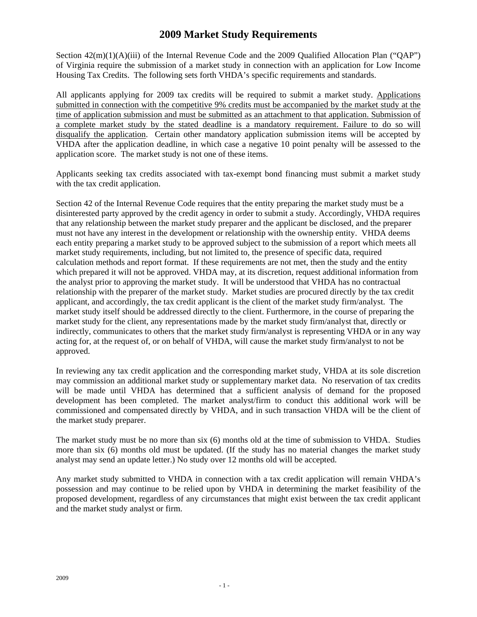# **2009 Market Study Requirements**

Section  $42(m)(1)(A)(iii)$  of the Internal Revenue Code and the 2009 Qualified Allocation Plan ("QAP") of Virginia require the submission of a market study in connection with an application for Low Income Housing Tax Credits. The following sets forth VHDA's specific requirements and standards.

All applicants applying for 2009 tax credits will be required to submit a market study. Applications submitted in connection with the competitive 9% credits must be accompanied by the market study at the time of application submission and must be submitted as an attachment to that application. Submission of a complete market study by the stated deadline is a mandatory requirement. Failure to do so will disqualify the application. Certain other mandatory application submission items will be accepted by VHDA after the application deadline, in which case a negative 10 point penalty will be assessed to the application score. The market study is not one of these items.

Applicants seeking tax credits associated with tax-exempt bond financing must submit a market study with the tax credit application.

Section 42 of the Internal Revenue Code requires that the entity preparing the market study must be a disinterested party approved by the credit agency in order to submit a study. Accordingly, VHDA requires that any relationship between the market study preparer and the applicant be disclosed, and the preparer must not have any interest in the development or relationship with the ownership entity. VHDA deems each entity preparing a market study to be approved subject to the submission of a report which meets all market study requirements, including, but not limited to, the presence of specific data, required calculation methods and report format. If these requirements are not met, then the study and the entity which prepared it will not be approved. VHDA may, at its discretion, request additional information from the analyst prior to approving the market study. It will be understood that VHDA has no contractual relationship with the preparer of the market study. Market studies are procured directly by the tax credit applicant, and accordingly, the tax credit applicant is the client of the market study firm/analyst. The market study itself should be addressed directly to the client. Furthermore, in the course of preparing the market study for the client, any representations made by the market study firm/analyst that, directly or indirectly, communicates to others that the market study firm/analyst is representing VHDA or in any way acting for, at the request of, or on behalf of VHDA, will cause the market study firm/analyst to not be approved.

In reviewing any tax credit application and the corresponding market study, VHDA at its sole discretion may commission an additional market study or supplementary market data. No reservation of tax credits will be made until VHDA has determined that a sufficient analysis of demand for the proposed development has been completed. The market analyst/firm to conduct this additional work will be commissioned and compensated directly by VHDA, and in such transaction VHDA will be the client of the market study preparer.

The market study must be no more than six (6) months old at the time of submission to VHDA. Studies more than six (6) months old must be updated. (If the study has no material changes the market study analyst may send an update letter.) No study over 12 months old will be accepted.

Any market study submitted to VHDA in connection with a tax credit application will remain VHDA's possession and may continue to be relied upon by VHDA in determining the market feasibility of the proposed development, regardless of any circumstances that might exist between the tax credit applicant and the market study analyst or firm.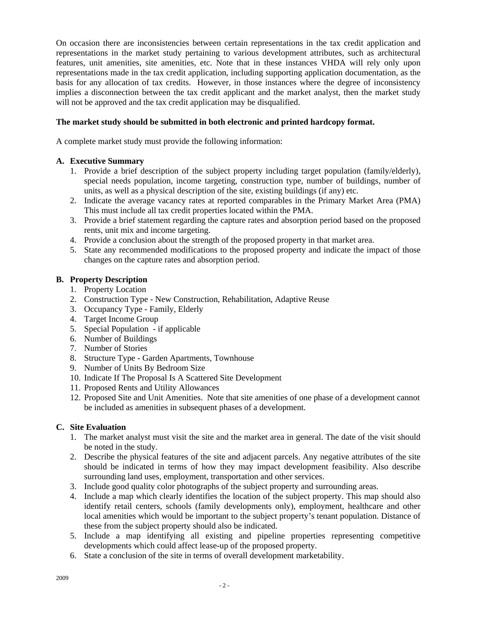On occasion there are inconsistencies between certain representations in the tax credit application and representations in the market study pertaining to various development attributes, such as architectural features, unit amenities, site amenities, etc. Note that in these instances VHDA will rely only upon representations made in the tax credit application, including supporting application documentation, as the basis for any allocation of tax credits. However, in those instances where the degree of inconsistency implies a disconnection between the tax credit applicant and the market analyst, then the market study will not be approved and the tax credit application may be disqualified.

# **The market study should be submitted in both electronic and printed hardcopy format.**

A complete market study must provide the following information:

# **A. Executive Summary**

- 1. Provide a brief description of the subject property including target population (family/elderly), special needs population, income targeting, construction type, number of buildings, number of units, as well as a physical description of the site, existing buildings (if any) etc.
- 2. Indicate the average vacancy rates at reported comparables in the Primary Market Area (PMA) This must include all tax credit properties located within the PMA.
- 3. Provide a brief statement regarding the capture rates and absorption period based on the proposed rents, unit mix and income targeting.
- 4. Provide a conclusion about the strength of the proposed property in that market area.
- 5. State any recommended modifications to the proposed property and indicate the impact of those changes on the capture rates and absorption period.

# **B. Property Description**

- 1. Property Location
- 2. Construction Type New Construction, Rehabilitation, Adaptive Reuse
- 3. Occupancy Type Family, Elderly
- 4. Target Income Group
- 5. Special Population if applicable
- 6. Number of Buildings
- 7. Number of Stories
- 8. Structure Type Garden Apartments, Townhouse
- 9. Number of Units By Bedroom Size
- 10. Indicate If The Proposal Is A Scattered Site Development
- 11. Proposed Rents and Utility Allowances
- 12. Proposed Site and Unit Amenities. Note that site amenities of one phase of a development cannot be included as amenities in subsequent phases of a development.

# **C. Site Evaluation**

- 1. The market analyst must visit the site and the market area in general. The date of the visit should be noted in the study.
- 2. Describe the physical features of the site and adjacent parcels. Any negative attributes of the site should be indicated in terms of how they may impact development feasibility. Also describe surrounding land uses, employment, transportation and other services.
- 3. Include good quality color photographs of the subject property and surrounding areas.
- 4. Include a map which clearly identifies the location of the subject property. This map should also identify retail centers, schools (family developments only), employment, healthcare and other local amenities which would be important to the subject property's tenant population. Distance of these from the subject property should also be indicated.
- 5. Include a map identifying all existing and pipeline properties representing competitive developments which could affect lease-up of the proposed property.
- 6. State a conclusion of the site in terms of overall development marketability.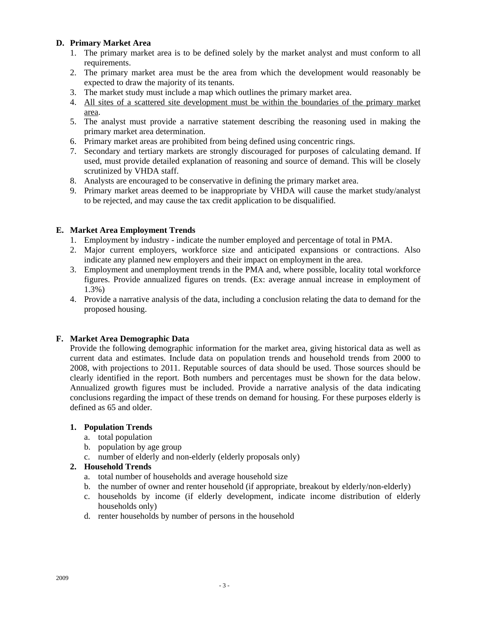# **D. Primary Market Area**

- 1. The primary market area is to be defined solely by the market analyst and must conform to all requirements.
- 2. The primary market area must be the area from which the development would reasonably be expected to draw the majority of its tenants.
- 3. The market study must include a map which outlines the primary market area.
- 4. All sites of a scattered site development must be within the boundaries of the primary market area.
- 5. The analyst must provide a narrative statement describing the reasoning used in making the primary market area determination.
- 6. Primary market areas are prohibited from being defined using concentric rings.
- 7. Secondary and tertiary markets are strongly discouraged for purposes of calculating demand. If used, must provide detailed explanation of reasoning and source of demand. This will be closely scrutinized by VHDA staff.
- 8. Analysts are encouraged to be conservative in defining the primary market area.
- 9. Primary market areas deemed to be inappropriate by VHDA will cause the market study/analyst to be rejected, and may cause the tax credit application to be disqualified.

# **E. Market Area Employment Trends**

- 1. Employment by industry indicate the number employed and percentage of total in PMA.
- 2. Major current employers, workforce size and anticipated expansions or contractions. Also indicate any planned new employers and their impact on employment in the area.
- 3. Employment and unemployment trends in the PMA and, where possible, locality total workforce figures. Provide annualized figures on trends. (Ex: average annual increase in employment of 1.3%)
- 4. Provide a narrative analysis of the data, including a conclusion relating the data to demand for the proposed housing.

# **F. Market Area Demographic Data**

Provide the following demographic information for the market area, giving historical data as well as current data and estimates. Include data on population trends and household trends from 2000 to 2008, with projections to 2011. Reputable sources of data should be used. Those sources should be clearly identified in the report. Both numbers and percentages must be shown for the data below. Annualized growth figures must be included. Provide a narrative analysis of the data indicating conclusions regarding the impact of these trends on demand for housing. For these purposes elderly is defined as 65 and older.

# **1. Population Trends**

- a. total population
- b. population by age group
- c. number of elderly and non-elderly (elderly proposals only)

# **2. Household Trends**

- a. total number of households and average household size
- b. the number of owner and renter household (if appropriate, breakout by elderly/non-elderly)
- c. households by income (if elderly development, indicate income distribution of elderly households only)
- d. renter households by number of persons in the household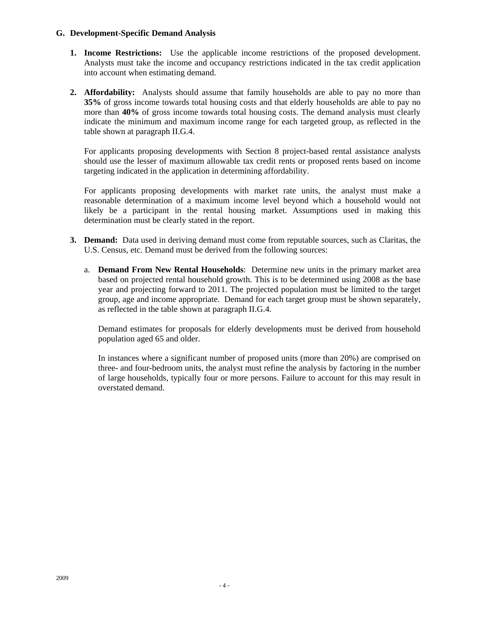# **G. Development-Specific Demand Analysis**

- **1. Income Restrictions:** Use the applicable income restrictions of the proposed development. Analysts must take the income and occupancy restrictions indicated in the tax credit application into account when estimating demand.
- **2. Affordability:** Analysts should assume that family households are able to pay no more than **35%** of gross income towards total housing costs and that elderly households are able to pay no more than **40%** of gross income towards total housing costs. The demand analysis must clearly indicate the minimum and maximum income range for each targeted group, as reflected in the table shown at paragraph II.G.4.

For applicants proposing developments with Section 8 project-based rental assistance analysts should use the lesser of maximum allowable tax credit rents or proposed rents based on income targeting indicated in the application in determining affordability.

For applicants proposing developments with market rate units, the analyst must make a reasonable determination of a maximum income level beyond which a household would not likely be a participant in the rental housing market. Assumptions used in making this determination must be clearly stated in the report.

- **3. Demand:** Data used in deriving demand must come from reputable sources, such as Claritas, the U.S. Census, etc. Demand must be derived from the following sources:
	- a. **Demand From New Rental Households**: Determine new units in the primary market area based on projected rental household growth. This is to be determined using 2008 as the base year and projecting forward to 2011. The projected population must be limited to the target group, age and income appropriate. Demand for each target group must be shown separately, as reflected in the table shown at paragraph II.G.4.

Demand estimates for proposals for elderly developments must be derived from household population aged 65 and older.

In instances where a significant number of proposed units (more than 20%) are comprised on three- and four-bedroom units, the analyst must refine the analysis by factoring in the number of large households, typically four or more persons. Failure to account for this may result in overstated demand.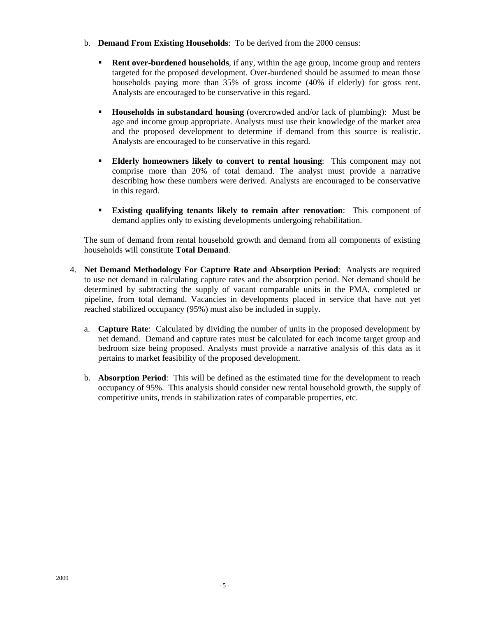- b. **Demand From Existing Households**: To be derived from the 2000 census:
	- **Rent over-burdened households**, if any, within the age group, income group and renters targeted for the proposed development. Over-burdened should be assumed to mean those households paying more than 35% of gross income (40% if elderly) for gross rent. Analysts are encouraged to be conservative in this regard.
	- **Households in substandard housing** (overcrowded and/or lack of plumbing): Must be age and income group appropriate. Analysts must use their knowledge of the market area and the proposed development to determine if demand from this source is realistic. Analysts are encouraged to be conservative in this regard.
	- **Elderly homeowners likely to convert to rental housing**: This component may not comprise more than 20% of total demand. The analyst must provide a narrative describing how these numbers were derived. Analysts are encouraged to be conservative in this regard.
	- **Existing qualifying tenants likely to remain after renovation**: This component of demand applies only to existing developments undergoing rehabilitation.

The sum of demand from rental household growth and demand from all components of existing households will constitute **Total Demand**.

- 4. **Net Demand Methodology For Capture Rate and Absorption Period**: Analysts are required to use net demand in calculating capture rates and the absorption period. Net demand should be determined by subtracting the supply of vacant comparable units in the PMA, completed or pipeline, from total demand. Vacancies in developments placed in service that have not yet reached stabilized occupancy (95%) must also be included in supply.
	- a. **Capture Rate**: Calculated by dividing the number of units in the proposed development by net demand. Demand and capture rates must be calculated for each income target group and bedroom size being proposed. Analysts must provide a narrative analysis of this data as it pertains to market feasibility of the proposed development.
	- b. **Absorption Period**: This will be defined as the estimated time for the development to reach occupancy of 95%. This analysis should consider new rental household growth, the supply of competitive units, trends in stabilization rates of comparable properties, etc.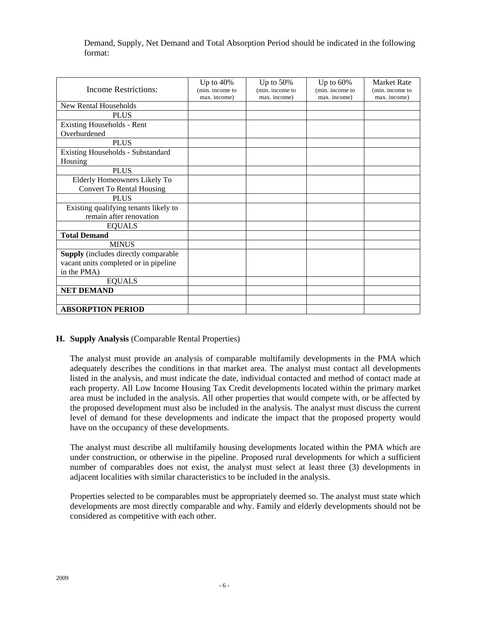Demand, Supply, Net Demand and Total Absorption Period should be indicated in the following format:

| <b>Income Restrictions:</b>                       | Up to 40%<br>(min. income to<br>max. income) | Up to $50%$<br>(min. income to<br>max. income) | Up to $60\%$<br>(min. income to<br>max. income) | <b>Market Rate</b><br>(min. income to<br>max. income) |
|---------------------------------------------------|----------------------------------------------|------------------------------------------------|-------------------------------------------------|-------------------------------------------------------|
| New Rental Households                             |                                              |                                                |                                                 |                                                       |
| <b>PLUS</b>                                       |                                              |                                                |                                                 |                                                       |
| <b>Existing Households - Rent</b><br>Overburdened |                                              |                                                |                                                 |                                                       |
| <b>PLUS</b>                                       |                                              |                                                |                                                 |                                                       |
| Existing Households - Substandard                 |                                              |                                                |                                                 |                                                       |
| Housing                                           |                                              |                                                |                                                 |                                                       |
| <b>PLUS</b>                                       |                                              |                                                |                                                 |                                                       |
| Elderly Homeowners Likely To                      |                                              |                                                |                                                 |                                                       |
| <b>Convert To Rental Housing</b>                  |                                              |                                                |                                                 |                                                       |
| <b>PLUS</b>                                       |                                              |                                                |                                                 |                                                       |
| Existing qualifying tenants likely to             |                                              |                                                |                                                 |                                                       |
| remain after renovation                           |                                              |                                                |                                                 |                                                       |
| <b>EQUALS</b>                                     |                                              |                                                |                                                 |                                                       |
| <b>Total Demand</b>                               |                                              |                                                |                                                 |                                                       |
| <b>MINUS</b>                                      |                                              |                                                |                                                 |                                                       |
| <b>Supply</b> (includes directly comparable       |                                              |                                                |                                                 |                                                       |
| vacant units completed or in pipeline             |                                              |                                                |                                                 |                                                       |
| in the PMA)                                       |                                              |                                                |                                                 |                                                       |
| <b>EQUALS</b>                                     |                                              |                                                |                                                 |                                                       |
| <b>NET DEMAND</b>                                 |                                              |                                                |                                                 |                                                       |
|                                                   |                                              |                                                |                                                 |                                                       |
| <b>ABSORPTION PERIOD</b>                          |                                              |                                                |                                                 |                                                       |

# **H. Supply Analysis** (Comparable Rental Properties)

The analyst must provide an analysis of comparable multifamily developments in the PMA which adequately describes the conditions in that market area. The analyst must contact all developments listed in the analysis, and must indicate the date, individual contacted and method of contact made at each property. All Low Income Housing Tax Credit developments located within the primary market area must be included in the analysis. All other properties that would compete with, or be affected by the proposed development must also be included in the analysis. The analyst must discuss the current level of demand for these developments and indicate the impact that the proposed property would have on the occupancy of these developments.

The analyst must describe all multifamily housing developments located within the PMA which are under construction, or otherwise in the pipeline. Proposed rural developments for which a sufficient number of comparables does not exist, the analyst must select at least three (3) developments in adjacent localities with similar characteristics to be included in the analysis.

Properties selected to be comparables must be appropriately deemed so. The analyst must state which developments are most directly comparable and why. Family and elderly developments should not be considered as competitive with each other.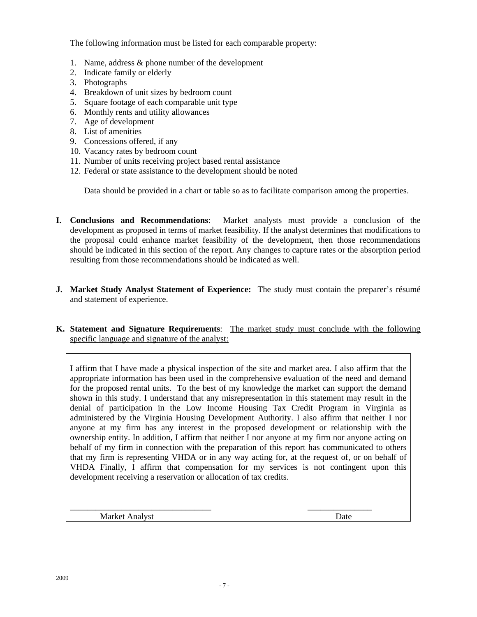The following information must be listed for each comparable property:

- 1. Name, address & phone number of the development
- 2. Indicate family or elderly
- 3. Photographs
- 4. Breakdown of unit sizes by bedroom count
- 5. Square footage of each comparable unit type
- 6. Monthly rents and utility allowances
- 7. Age of development
- 8. List of amenities
- 9. Concessions offered, if any
- 10. Vacancy rates by bedroom count
- 11. Number of units receiving project based rental assistance
- 12. Federal or state assistance to the development should be noted

Data should be provided in a chart or table so as to facilitate comparison among the properties.

- **I. Conclusions and Recommendations**:Market analysts must provide a conclusion of the development as proposed in terms of market feasibility. If the analyst determines that modifications to the proposal could enhance market feasibility of the development, then those recommendations should be indicated in this section of the report. Any changes to capture rates or the absorption period resulting from those recommendations should be indicated as well.
- **J. Market Study Analyst Statement of Experience:** The study must contain the preparer's résumé and statement of experience.
- **K. Statement and Signature Requirements**: The market study must conclude with the following specific language and signature of the analyst:

I affirm that I have made a physical inspection of the site and market area. I also affirm that the appropriate information has been used in the comprehensive evaluation of the need and demand for the proposed rental units. To the best of my knowledge the market can support the demand shown in this study. I understand that any misrepresentation in this statement may result in the denial of participation in the Low Income Housing Tax Credit Program in Virginia as administered by the Virginia Housing Development Authority. I also affirm that neither I nor anyone at my firm has any interest in the proposed development or relationship with the ownership entity. In addition, I affirm that neither I nor anyone at my firm nor anyone acting on behalf of my firm in connection with the preparation of this report has communicated to others that my firm is representing VHDA or in any way acting for, at the request of, or on behalf of VHDA Finally, I affirm that compensation for my services is not contingent upon this development receiving a reservation or allocation of tax credits.

Market Analyst Date

\_\_\_\_\_\_\_\_\_\_\_\_\_\_\_\_\_\_\_\_\_\_\_\_\_\_\_\_\_\_\_\_\_ \_\_\_\_\_\_\_\_\_\_\_\_\_\_\_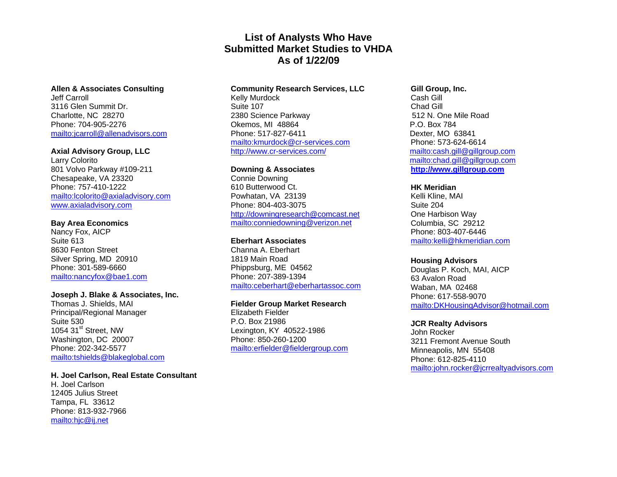# **List of Analysts Who Have Submitted Market Studies to VHDA As of 1/22/09**

### **Community Research Services, LLC**

Kelly Murdock Suite 107 2380 Science Parkway Okemos, MI 48864 Phone: 517-827-6411 <mailto:kmurdock@cr-services.com><http://www.cr-services.com/>

### **Downing & Associates**

Connie Downing 610 Butterwood Ct. Powhatan, VA 23139 Phone: 804-403-3075 [http://downingresearch@comcast.net](http://downingresearch@comcast.net/) [mailto:conniedowning@verizon.net](mailto:conniedowning@comcast.net)

#### **Eberhart Associates**

Channa A. Eberhart 1819 Main Road Phippsburg, ME 04562 Phone: 207-389-1394 <mailto:ceberhart@eberhartassoc.com>

## **Fielder Group Market Research**

Elizabeth Fielder P.O. Box 21986 Lexington, KY 40522-1986 Phone: 850-260-1200 <mailto:erfielder@fieldergroup.com>

#### **Gill Group, Inc.**

Cash Gill Chad Gill 512 N. One Mile Road P.O. Box 784 Dexter, MO 63841 Phone: 573-624-6614 <mailto:cash.gill@gillgroup.com> <mailto:chad.gill@gillgroup.com> **[http://www.gillgroup.com](http://www.gillgroup.com/)**

#### **HK Meridian**

Kelli Kline, MAI Suite 204 One Harbison Way Columbia, SC 29212 Phone: 803-407-6446 <mailto:kelli@hkmeridian.com>

#### **Housing Advisors**

Douglas P. Koch, MAI, AICP 63 Avalon Road Waban, MA 02468 Phone: 617-558-9070 <mailto:DKHousingAdvisor@hotmail.com>

#### **JCR Realty Advisors**

John Rocker 3211 Fremont Avenue South Minneapolis, MN 55408 Phone: 612-825-4110 <mailto:john.rocker@jcrrealtyadvisors.com>

#### **Allen & Associates Consulting**  Jeff Carroll 3116 Glen Summit Dr. Charlotte, NC 28270 Phone: 704-905-2276 <mailto:jcarroll@allenadvisors.com>

### **Axial Advisory Group, LLC**

Larry Colorito 801 Volvo Parkway #109-211 Chesapeake, VA 23320 Phone: 757-410-1222 <mailto:lcolorito@axialadvisory.com> [www.axialadvisory.com](http://www.axialadvisory.com/)

### **Bay Area Economics**

Nancy Fox, AICP Suite 613 8630 Fenton Street Silver Spring, MD 20910 Phone: 301-589-6660 <mailto:nancyfox@bae1.com>

#### **Joseph J. Blake & Associates, Inc.**

Thomas J. Shields, MAI Principal/Regional Manager Suite 530 1054  $31<sup>st</sup>$  Street, NW Washington, DC 20007 Phone: 202-342-5577 <mailto:tshields@blakeglobal.com>

## **H. Joel Carlson, Real Estate Consultant**  H. Joel Carlson

12405 Julius Street Tampa, FL 33612 Phone: 813-932-7966 <mailto:hjc@ij.net>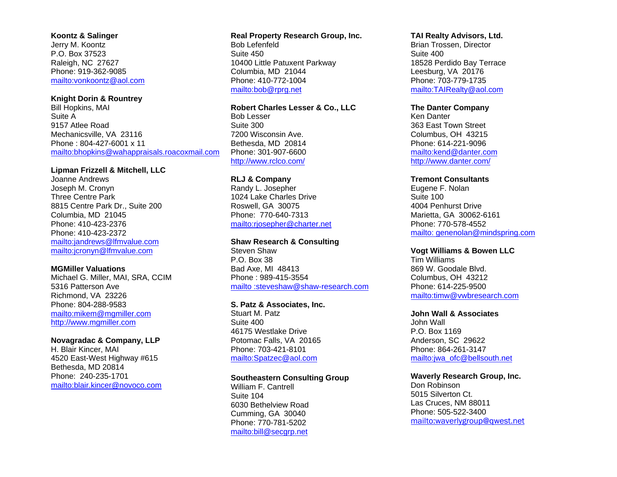#### **Koontz & Salinger**

Jerry M. Koontz P.O. Box 37523 Raleigh, NC 27627 Phone: 919-362-9085 <mailto:vonkoontz@aol.com>

#### **Knight Dorin & Rountrey**

Bill Hopkins, MAI Suite A 9157 Atlee Road Mechanicsville, VA 23116 Phone : 804-427-6001 x 11 <mailto:bhopkins@wahappraisals.roacoxmail.com>

## **Lipman Frizzell & Mitchell, LLC**

Joanne Andrews Joseph M. Cronyn Three Centre Park 8815 Centre Park Dr., Suite 200 Columbia, MD 21045 Phone: 410-423-2376 Phone: 410-423-2372 <mailto:jandrews@lfmvalue.com> <mailto:jcronyn@lfmvalue.com>

#### **MGMiller Valuations**

Michael G. Miller, MAI, SRA, CCIM 5316 Patterson Ave Richmond, VA 23226 Phone: 804-288-9583 <mailto:mikem@mgmiller.com> [http://www.mgmiller.com](http://www.mgmiller.com/)

## **Novagradac & Company, LLP**

H. Blair Kincer, MAI 4520 East-West Highway #615 Bethesda, MD 20814 Phone: 240-235-1701 <mailto:blair.kincer@novoco.com>

## **Real Property Research Group, Inc.**

Bob Lefenfeld Suite 450 10400 Little Patuxent Parkway Columbia, MD 21044 Phone: 410-772-1004 <mailto:bob@rprg.net>

# **Robert Charles Lesser & Co., LLC**

Bob Lesser Suite 300 7200 Wisconsin Ave. Bethesda, MD 20814 Phone: 301-907-6600 <http://www.rclco.com/>

## **RLJ & Company**

Randy L. Josepher 1024 Lake Charles Drive Roswell, GA 30075 Phone: 770-640-7313 <mailto:rjosepher@charter.net>

## **Shaw Research & Consulting**

Steven Shaw P.O. Box 38 Bad Axe, MI 48413 Phone : 989-415-3554 [mailto :steveshaw@shaw-research.com](mailto:steveshaw@shaw-research.com)

## **S. Patz & Associates, Inc.**

Stuart M. Patz Suite 400 46175 Westlake Drive Potomac Falls, VA 20165 Phone: 703-421-8101 <mailto:Spatzec@aol.com>

#### **Southeastern Consulting Group**

William F. Cantrell Suite 104 6030 Bethelview Road Cumming, GA 30040 Phone: 770-781-5202 <mailto:bill@secgrp.net>

## **TAI Realty Advisors, Ltd.**

Brian Trossen, Director Suite 400 18528 Perdido Bay Terrace Leesburg, VA 20176 Phone: 703-779-1735 <mailto:TAIRealty@aol.com>

#### **The Danter Company**

Ken Danter 363 East Town Street Columbus, OH 43215 Phone: 614-221-9096 <mailto:kend@danter.com><http://www.danter.com/>

## **Tremont Consultants**

Eugene F. Nolan Suite 100 4004 Penhurst Drive Marietta, GA 30062-6161 Phone: 770-578-4552 [mailto: genenolan@mindspring.com](mailto:%20genenolan@mindspring.com)

# **Vogt Williams & Bowen LLC**

Tim Williams 869 W. Goodale Blvd. Columbus, OH 43212 Phone: 614-225-9500 <mailto:timw@vwbresearch.com>

#### **John Wall & Associates**

John Wall P.O. Box 1169 Anderson, SC 29622 Phone: 864-261-3147 [mailto:jwa\\_ofc@bellsouth.net](mailto:jwa_ofc@bellsouth.net)

#### **Waverly Research Group, Inc.**

Don Robinson 5015 Silverton Ct. Las Cruces, NM 88011 Phone: 505-522-3400 <mailto:waverlygroup@qwest.net>